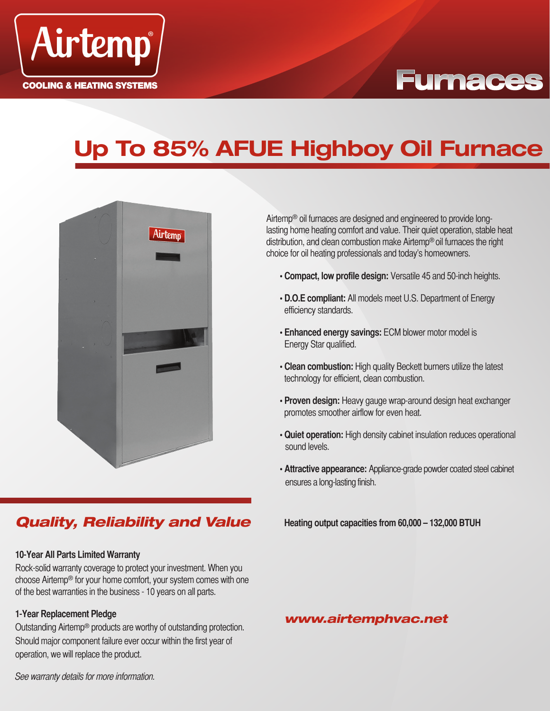

## **Furnaces**

## **Up To 85% AFUE Highboy Oil Furnace**



## *Quality, Reliability and Value*

#### **10-Year All Parts Limited Warranty**

Rock-solid warranty coverage to protect your investment. When you choose Airtemp® for your home comfort, your system comes with one of the best warranties in the business - 10 years on all parts.

#### **1-Year Replacement Pledge**

Outstanding Airtemp® products are worthy of outstanding protection. Should major component failure ever occur within the first year of operation, we will replace the product.

Airtemp® oil furnaces are designed and engineered to provide longlasting home heating comfort and value. Their quiet operation, stable heat distribution, and clean combustion make Airtemp® oil furnaces the right choice for oil heating professionals and today's homeowners.

- **Compact, low profile design:** Versatile 45 and 50-inch heights.
- **D.O.E compliant:** All models meet U.S. Department of Energy efficiency standards.
- **Enhanced energy savings:** ECM blower motor model is Energy Star qualified.
- **Clean combustion:** High quality Beckett burners utilize the latest technology for efficient, clean combustion.
- **Proven design:** Heavy gauge wrap-around design heat exchanger promotes smoother airflow for even heat.
- **Quiet operation:** High density cabinet insulation reduces operational sound levels.
- **Attractive appearance:** Appliance-grade powder coated steel cabinet ensures a long-lasting finish.

**Heating output capacities from 60,000 – 132,000 BTUH**

### *www.airtemphvac.net*

See warranty details for more information.